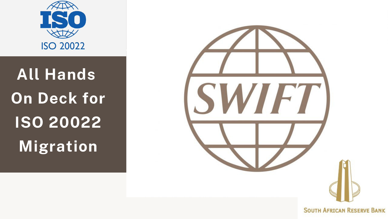

**All Hands On Deck for ISO 20022 Migration**

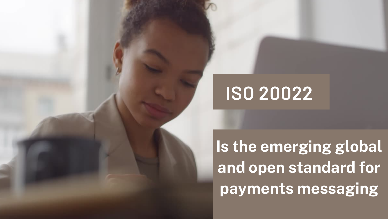## **ISO 20022**



**Is the emerging global and open standard for payments messaging**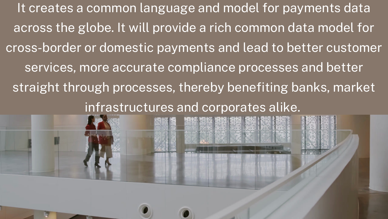It creates a common language and model for payments data across the globe. It will provide a rich common data model for cross-border or domestic payments and lead to better customer services, more accurate compliance processes and better straight through processes, thereby benefiting banks, market infrastructures and corporates alike.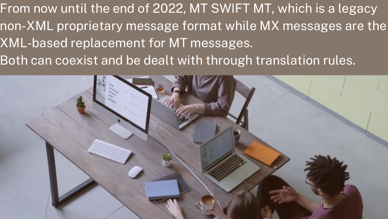From now until the end of 2022, MT SWIFT MT, which is a legacy non-XML proprietary message format while MX messages are the XML-based replacement for MT messages. Both can coexist and be dealt with through translation rules.

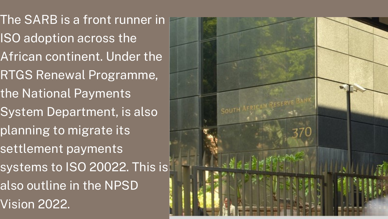The SARB is a front runner in ISO adoption across the African continent. Under the RTGS Renewal Programme, the National Payments System Department, is also planning to migrate its settlement payments systems to ISO 20022. This is also outline in the NPSD Vision 2022.

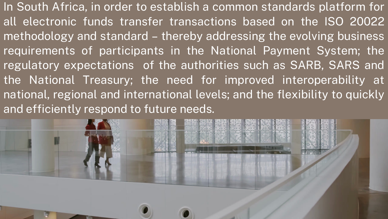In South Africa, in order to establish a common standards platform for all electronic funds transfer transactions based on the ISO 20022 methodology and standard – thereby addressing the evolving business requirements of participants in the National Payment System; the regulatory expectations of the authorities such as SARB, SARS and the National Treasury; the need for improved interoperability at national, regional and international levels; and the flexibility to quickly and efficiently respond to future needs.

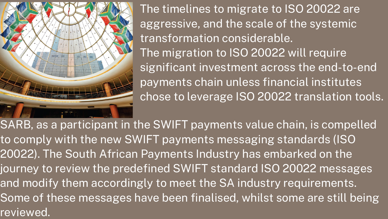

The timelines to migrate to ISO 20022 are aggressive, and the scale of the systemic transformation considerable. The migration to ISO 20022 will require significant investment across the end-to-end payments chain unless financial institutes chose to leverage ISO 20022 translation tools.

SARB, as a participant in the SWIFT payments value chain, is compelled to comply with the new SWIFT payments messaging standards (ISO 20022). The South African Payments Industry has embarked on the journey to review the predefined SWIFT standard ISO 20022 messages and modify them accordingly to meet the SA industry requirements. Some of these messages have been finalised, whilst some are still being reviewed.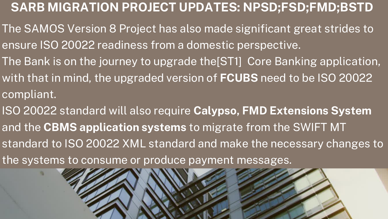- The SAMOS Version 8 Project has also made significant great strides to ensure ISO 20022 readiness from a domestic perspective.
- The Bank is on the journey to upgrade the[ST1] Core Banking application,
- with that in mind, the upgraded version of **FCUBS** need to be ISO 20022 compliant.
- ISO 20022 standard will also require **Calypso, FMD Extensions System** and the **CBMS application systems** to migrate from the SWIFT MT standard to ISO 20022 XML standard and make the necessary changes to the systems to consume or produce payment messages.



### **SARB MIGRATION PROJECT UPDATES: NPSD;FSD;FMD;BSTD**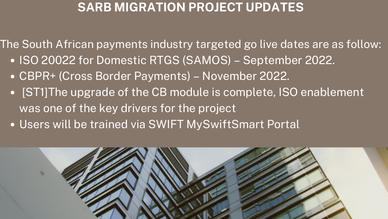• ISO 20022 for Domestic RTGS (SAMOS) - September 2022. CBPR+ (Cross Border Payments) – November 2022. • [ST1]The upgrade of the CB module is complete, ISO enablement The South African payments industry targeted go live dates are as follow:

- 
- 
- was one of the key drivers for the project
- Users will be trained via SWIFT MySwiftSmart Portal



### **SARB MIGRATION PROJECT UPDATES**